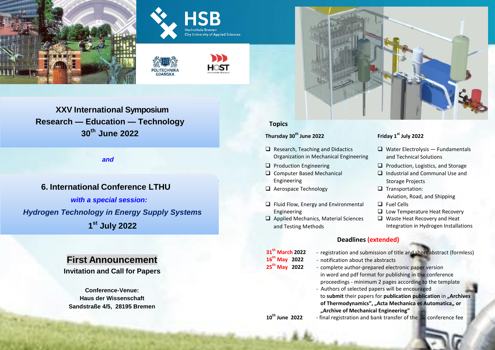







# **XXV International Symposium Research — Education — Technology 30th June 2022**

*and*

# **6. International Conference LTHU** *with a special session:*

*Hydrogen Technology in Energy Supply Systems* **1 st July 2022**

# **First Announcement**

**Invitation and Call for Papers**

**Conference-Venue: Haus der Wissenschaft Sandstraße 4/5, 28195 Bremen**



# **Topics**

# **Thursday 30th June 2022 Friday 1st July 2022**

- $\Box$  Research, Teaching and Didactics Organization in Mechanical Engineering
- 
- Computer Based Mechanical Engineering
- $\Box$  Aerospace Technology  $\Box$  Transportation:
- $\Box$  Fluid Flow, Energy and Environmental Engineering
- $\Box$  Applied Mechanics, Material Sciences and Testing Methods

- $\Box$  Water Electrolysis Fundamentals and Technical Solutions
- $\Box$  Production Engineering  $\Box$  Production, Logistics, and Storage
	- $\Box$  Industrial and Communal Use and Storage Projects
	- Aviation, Road, and Shipping
	- Fuel Cells
	- **L** Low Temperature Heat Recovery
	- Waste Heat Recovery and Heat Integration in Hydrogen Installations

# **Deadlines (extended)**

- 31<sup>th</sup> March 2022<br>16<sup>th</sup> May 2022 **th March 2022** - registration and submission of title and short abstract (formless)
	- **16th May 2022** notification about the abstracts
- 25<sup>th</sup> May 2022
- - complete author-prepared electronic paper version in word and pdf format for publishing in the conference proceedings - minimum 2 pages according to the template
- Authors of selected papers will be encouraged to **submit** their papers for **publication publication** in **"Archives of Thermodynamics", "Acta Mechanica et Automatica" or "Archive of Mechanical Engineering"**
- 10<sup>th</sup> June 2022 **th June 2022** - final registration and bank transfer of the conference fee